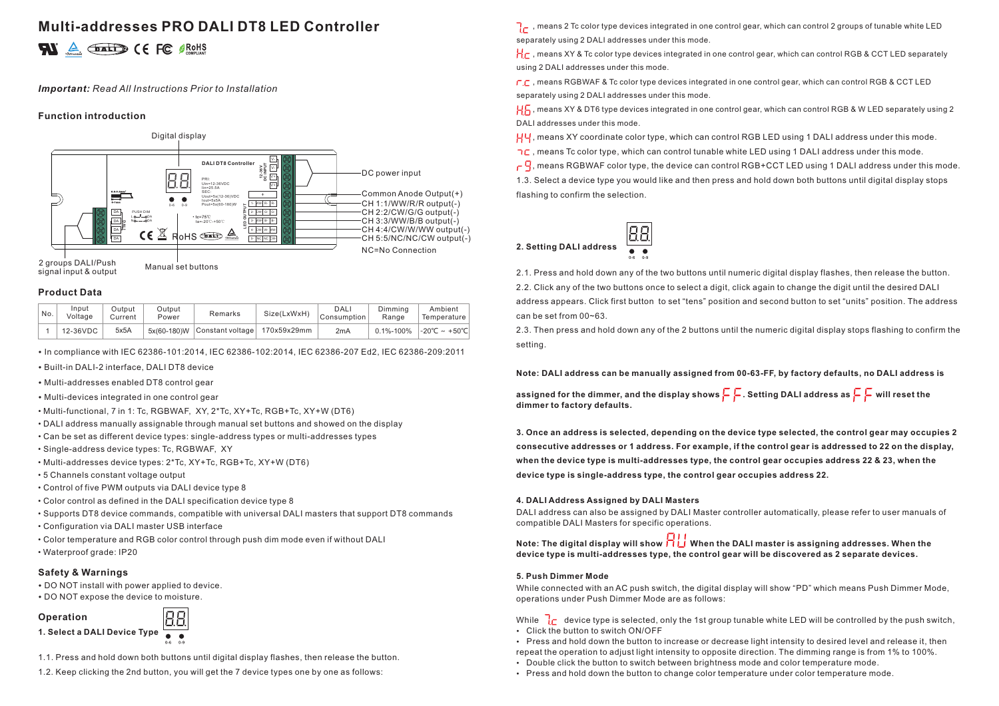# **Multi-addresses PRO DALI DT8 LED Controller 2**

#### *Important: Read All Instructions Prior to Installation*

#### **Function introduction**



### **Product Data**

| No. | Input<br>Voltage | Output<br>Current | Output<br>Power | Remarks                                    | Size(LxWxH) | DALI<br>Consumption | Dimming<br>Range | Ambient<br>Temperature  |
|-----|------------------|-------------------|-----------------|--------------------------------------------|-------------|---------------------|------------------|-------------------------|
|     | 12-36VDC         | 5x5A              |                 | $5x(60-180)W$ Constant voltage 170x59x29mm |             | 2mA                 |                  | 0.1%-100% -20°C ~ +50°C |

• In compliance with IEC 62386-101:2014, IEC 62386-102:2014, IEC 62386-207 Ed2, IEC 62386-209:2011

- Built-in DALI-2 interface, DALI DT8 device
- Multi-addresses enabled DT8 control gear
- Multi-devices integrated in one control gear
- Multi-functional, 7 in 1: Tc, RGBWAF, XY, 2\*Tc, XY+Tc, RGB+Tc, XY+W (DT6)
- DALI address manually assignable through manual set buttons and showed on the display
- Can be set as different device types: single-address types or multi-addresses types
- Single-address device types: Tc, RGBWAF, XY
- Multi-addresses device types: 2\*Tc, XY+Tc, RGB+Tc, XY+W (DT6)
- 5 Channels constant voltage output
- Control of five PWM outputs via DALI device type 8
- Color control as defined in the DALI specification device type 8
- Supports DT8 device commands, compatible with universal DALI masters that support DT8 commands
- Configuration via DALI master USB interface
- Color temperature and RGB color control through push dim mode even if without DALI
- Waterproof grade: IP20

#### **Safety & Warnings**

- DO NOT install with power applied to device.
- DO NOT expose the device to moisture.

### **Operation**



- 
- 1.1. Press and hold down both buttons until digital display flashes, then release the button.
- 1.2. Keep clicking the 2nd button, you will get the 7 device types one by one as follows:

, means 2 Tc color type devices integrated in one control gear, which can control 2 groups of tunable white LED separately using 2 DALI addresses under this mode.

 $H_{\Gamma}$ , means XY & Tc color type devices integrated in one control gear, which can control RGB & CCT LED separately using 2 DALI addresses under this mode.

 $\Gamma$ , means RGBWAF & Tc color type devices integrated in one control gear, which can control RGB & CCT LED separately using 2 DALI addresses under this mode.

H<sub>2</sub>, means XY & DT6 type devices integrated in one control gear, which can control RGB & W LED separately using 2 DALI addresses under this mode.

, means XY coordinate color type, which can control RGB LED using 1 DALI address under this mode.

 $\neg$ C, means Tc color type, which can control tunable white LED using 1 DALI address under this mode.

 $\sim$   $\overline{q}$ , means RGBWAF color type, the device can control RGB+CCT LED using 1 DALI address under this mode. 1.3. Select a device type you would like and then press and hold down both buttons until digital display stops flashing to confirm the selection.





2.1. Press and hold down any of the two buttons until numeric digital display flashes, then release the button. 2.2. Click any of the two buttons once to select a digit, click again to change the digit until the desired DALI address appears. Click first button to set "tens" position and second button to set "units" position. The address can be set from 00~63.

2.3. Then press and hold down any of the 2 buttons until the numeric digital display stops flashing to confirm the setting.

#### **Note: DALI address can be manually assigned from 00-63-FF, by factory defaults, no DALI address is**

assigned for the dimmer, and the display shows  $\subsetneq \subsetneq$ . Setting DALI address as  $\subsetneq \subsetneq$  will reset the **dimmer to factory defaults.**

**3. Once an address is selected, depending on the device type selected, the control gear may occupies 2 consecutive addresses or 1 address. For example, if the control gear is addressed to 22 on the display, when the device type is multi-addresses type, the control gear occupies address 22 & 23, when the device type is single-address type, the control gear occupies address 22.**

#### **4. DALI Address Assigned by DALI Masters**

DALI address can also be assigned by DALI Master controller automatically, please refer to user manuals of compatible DALI Masters for specific operations.

**Note: The digital display will show When the DALI master is assigning addresses. When the device type is multi-addresses type, the control gear will be discovered as 2 separate devices.** 

#### **5. Push Dimmer Mode**

While connected with an AC push switch, the digital display will show "PD" which means Push Dimmer Mode, operations under Push Dimmer Mode are as follows:

While  $\overline{d}r$  device type is selected, only the 1st group tunable white LED will be controlled by the push switch, Click the button to switch ON/OFF

- Press and hold down the button to increase or decrease light intensity to desired level and release it, then repeat the operation to adjust light intensity to opposite direction. The dimming range is from 1% to 100%.
- Double click the button to switch between brightness mode and color temperature mode.
- Press and hold down the button to change color temperature under color temperature mode.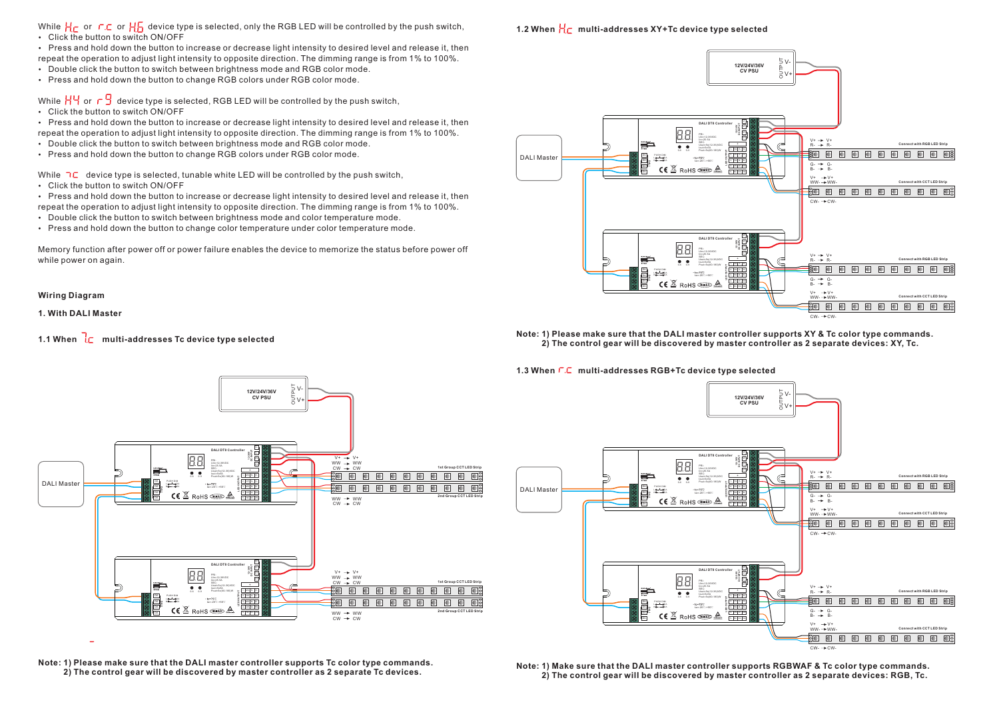While  $H_C$  or  $C_C$  or  $H_D$  device type is selected, only the RGB LED will be controlled by the push switch,

Click the button to switch ON/OFF

Press and hold down the button to increase or decrease light intensity to desired level and release it, then repeat the operation to adjust light intensity to opposite direction. The dimming range is from 1% to 100%.

- Double click the button to switch between brightness mode and RGB color mode.
- Press and hold down the button to change RGB colors under RGB color mode.

While  $H\Psi$  or  $\Box$  device type is selected, RGB LED will be controlled by the push switch,

Click the button to switch ON/OFF

Press and hold down the button to increase or decrease light intensity to desired level and release it, then repeat the operation to adjust light intensity to opposite direction. The dimming range is from 1% to 100%.

- Double click the button to switch between brightness mode and RGB color mode.
- Press and hold down the button to change RGB colors under RGB color mode.

While  $\overline{1}C$  device type is selected, tunable white LED will be controlled by the push switch,

Click the button to switch ON/OFF

Press and hold down the button to increase or decrease light intensity to desired level and release it, then repeat the operation to adjust light intensity to opposite direction. The dimming range is from 1% to 100%.

- Double click the button to switch between brightness mode and color temperature mode.
- Press and hold down the button to change color temperature under color temperature mode.

Memory function after power off or power failure enables the device to memorize the status before power off while power on again.

**Wiring Diagram**

**1. With DALI Master**

### **1.1 When**  $\overline{L}$  multi-addresses Tc device type selected



**Note: 1) Please make sure that the DALI master controller supports Tc color type commands. 2) The control gear will be discovered by master controller as 2 separate Tc devices.**

### **1.2 When**  $\frac{1}{2}$  multi-addresses XY+Tc device type selected



#### **Note: 1) Please make sure that the DALI master controller supports XY & Tc color type commands. 2) The control gear will be discovered by master controller as 2 separate devices: XY, Tc.**

#### 1.3 When  $\Gamma$ . C multi-addresses RGB+Tc device type selected



**Note: 1) Make sure that the DALI master controller supports RGBWAF & Tc color type commands. 2) The control gear will be discovered by master controller as 2 separate devices: RGB, Tc.**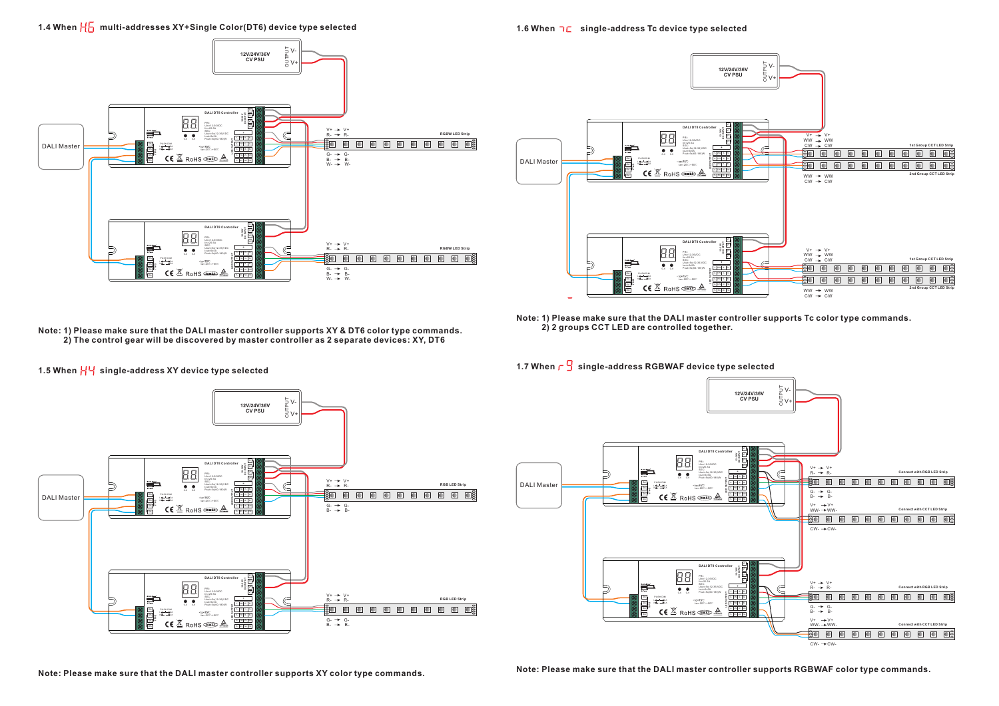1.4 When  $\frac{1}{10}$  multi-addresses XY+Single Color(DT6) device type selected



**1.6 When single-address Tc device type selected**



**Note: 1) Please make sure that the DALI master controller supports XY & DT6 color type commands. 2) The control gear will be discovered by master controller as 2 separate devices: XY, DT6**

 **2) 2 groups CCT LED are controlled together.**

**Note: 1) Please make sure that the DALI master controller supports Tc color type commands.** 

1.7 When  $\lceil \frac{G}{2} \rceil$  single-address RGBWAF device type selected





1.5 When HH single-address XY device type selected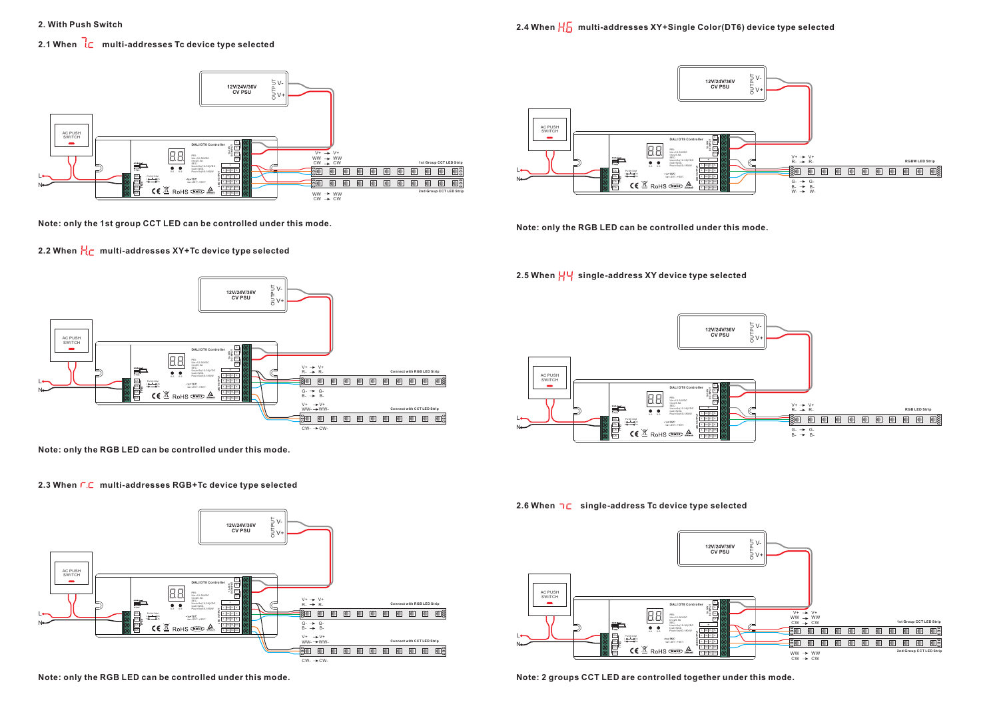## **2.1 When**  $\frac{1}{2}$  multi-addresses Tc device type selected



**Note: only the 1st group CCT LED can be controlled under this mode.**

# **2.2 When**  $\frac{1}{10}$  **multi-addresses XY+Tc device type selected**



**Note: only the RGB LED can be controlled under this mode.**

### **2.3 When multi-addresses RGB+Tc device type selected**



**Note: only the RGB LED can be controlled under this mode.**



**Note: only the RGB LED can be controlled under this mode.**

# **2.5 When single-address XY device type selected**



**2.6 When single-address Tc device type selected**



**Note: 2 groups CCT LED are controlled together under this mode.**